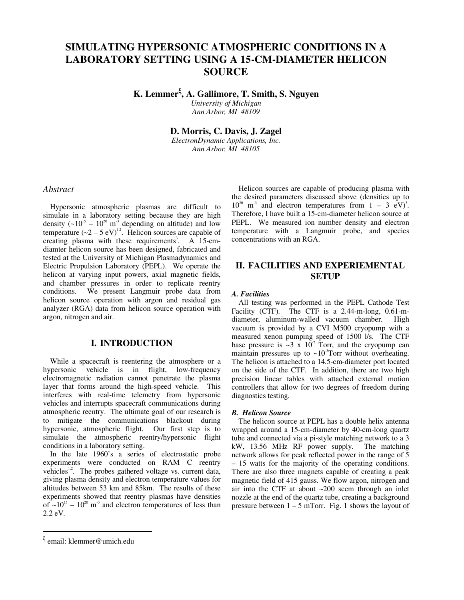# **SIMULATING HYPERSONIC ATMOSPHERIC CONDITIONS IN A LABORATORY SETTING USING A 15-CM-DIAMETER HELICON SOURCE**

**K. Lemmer**<sup>ξ</sup> **, A. Gallimore, T. Smith, S. Nguyen** 

*University of Michigan Ann Arbor, MI 48109* 

**D. Morris, C. Davis, J. Zagel** 

*ElectronDynamic Applications, Inc. Ann Arbor, MI 48105*

# *Abstract*

 Hypersonic atmospheric plasmas are difficult to simulate in a laboratory setting because they are high density  $({\sim}10^{15} - 10^{20} \text{ m}^3$  depending on altitude) and low temperature  $(-2 - 5 \text{ eV})^{1,2}$ . Helicon sources are capable of creating plasma with these requirements<sup>3</sup>. A 15-cmdiamter helicon source has been designed, fabricated and tested at the University of Michigan Plasmadynamics and Electric Propulsion Laboratory (PEPL). We operate the helicon at varying input powers, axial magnetic fields, and chamber pressures in order to replicate reentry conditions. We present Langmuir probe data from helicon source operation with argon and residual gas analyzer (RGA) data from helicon source operation with argon, nitrogen and air.

## **I. INTRODUCTION**

 While a spacecraft is reentering the atmosphere or a hypersonic vehicle is in flight, low-frequency electromagnetic radiation cannot penetrate the plasma layer that forms around the high-speed vehicle. This interferes with real-time telemetry from hypersonic vehicles and interrupts spacecraft communications during atmospheric reentry. The ultimate goal of our research is to mitigate the communications blackout during hypersonic, atmospheric flight. Our first step is to simulate the atmospheric reentry/hypersonic flight conditions in a laboratory setting.

 In the late 1960's a series of electrostatic probe experiments were conducted on RAM C reentry vehicles<sup>1,2</sup>. The probes gathered voltage vs. current data, giving plasma density and electron temperature values for altitudes between 53 km and 85km. The results of these experiments showed that reentry plasmas have densities of  $\sim 10^{15} - 10^{20}$  m<sup>-3</sup> and electron temperatures of less than 2.2 eV.

# **II. FACILITIES AND EXPERIEMENTAL SETUP**

### *A. Facilities*

 All testing was performed in the PEPL Cathode Test Facility (CTF). The CTF is a 2.44-m-long, 0.61-mdiameter, aluminum-walled vacuum chamber. High vacuum is provided by a CVI M500 cryopump with a measured xenon pumping speed of 1500 l/s. The CTF base pressure is  $\sim$ 3 x 10<sup>-7</sup> Torr, and the cryopump can maintain pressures up to  $\sim 10^{-3}$ Torr without overheating. The helicon is attached to a 14.5-cm-diameter port located on the side of the CTF. In addition, there are two high precision linear tables with attached external motion controllers that allow for two degrees of freedom during diagnostics testing.

### *B. Helicon Source*

The helicon source at PEPL has a double helix antenna wrapped around a 15-cm-diameter by 40-cm-long quartz tube and connected via a pi-style matching network to a 3 kW, 13.56 MHz RF power supply. The matching network allows for peak reflected power in the range of 5 – 15 watts for the majority of the operating conditions. There are also three magnets capable of creating a peak magnetic field of 415 gauss. We flow argon, nitrogen and air into the CTF at about ~200 sccm through an inlet nozzle at the end of the quartz tube, creating a background pressure between  $1 - 5$  mTorr. Fig. 1 shows the layout of

 $\overline{a}$ 

Helicon sources are capable of producing plasma with the desired parameters discussed above (densities up to  $10^{20}$  m<sup>-3</sup> and electron temperatures from  $1 - 3$  eV)<sup>3</sup>. Therefore, I have built a 15-cm-diameter helicon source at PEPL. We measured ion number density and electron temperature with a Langmuir probe, and species concentrations with an RGA.

<sup>&</sup>lt;sup>ξ</sup> email: klemmer@umich.edu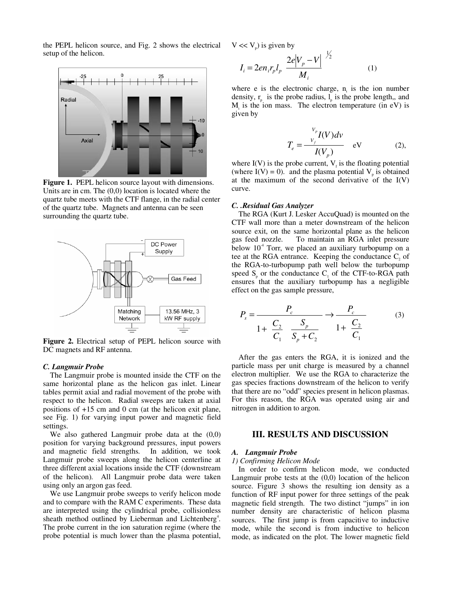the PEPL helicon source, and Fig. 2 shows the electrical setup of the helicon.



**Figure 1.** PEPL helicon source layout with dimensions. Units are in cm. The (0,0) location is located where the quartz tube meets with the CTF flange, in the radial center of the quartz tube. Magnets and antenna can be seen surrounding the quartz tube.



**Figure 2.** Electrical setup of PEPL helicon source with DC magnets and RF antenna.

### *C. Langmuir Probe*

 The Langmuir probe is mounted inside the CTF on the same horizontal plane as the helicon gas inlet. Linear tables permit axial and radial movement of the probe with respect to the helicon. Radial sweeps are taken at axial positions of +15 cm and 0 cm (at the helicon exit plane, see Fig. 1) for varying input power and magnetic field settings.

 We also gathered Langmuir probe data at the (0,0) position for varying background pressures, input powers and magnetic field strengths. In addition, we took Langmuir probe sweeps along the helicon centerline at three different axial locations inside the CTF (downstream of the helicon). All Langmuir probe data were taken using only an argon gas feed.

 We use Langmuir probe sweeps to verify helicon mode and to compare with the RAM C experiments. These data are interpreted using the cylindrical probe, collisionless sheath method outlined by Lieberman and Lichtenberg<sup>4</sup>. The probe current in the ion saturation regime (where the probe potential is much lower than the plasma potential,

 $V \ll V_p$ ) is given by

$$
I_{i} = 2en_{i}r_{p}l_{p} \frac{2e|V_{p} - V|}{M_{i}}^{V_{2}}
$$
 (1)

where e is the electronic charge,  $n_i$  is the ion number density,  $r_{n}$  is the probe radius,  $l_{n}$  is the probe length,, and  $M<sub>i</sub>$  is the ion mass. The electron temperature (in eV) is given by

$$
T_e = \frac{V_p}{V_f} I(V) dv
$$
   
 
$$
V_e = \frac{V_f}{V_V} I(V_p)
$$
   
 
$$
= V \tag{2},
$$

where  $I(V)$  is the probe current,  $V_f$  is the floating potential (where  $I(V) = 0$ ). and the plasma potential  $V_p$  is obtained at the maximum of the second derivative of the I(V) curve.

#### *C. .Residual Gas Analyzer*

 The RGA (Kurt J. Lesker AccuQuad) is mounted on the CTF wall more than a meter downstream of the helicon source exit, on the same horizontal plane as the helicon gas feed nozzle. To maintain an RGA inlet pressure below  $10<sup>4</sup>$  Torr, we placed an auxiliary turbopump on a tee at the RGA entrance. Keeping the conductance  $C<sub>2</sub>$  of the RGA-to-turbopump path well below the turbopump speed  $S_n$  or the conductance  $C_1$  of the CTF-to-RGA path ensures that the auxiliary turbopump has a negligible effect on the gas sample pressure,

$$
P_s = \frac{P_c}{1 + \frac{C_2}{C_1} \frac{S_p}{S_p + C_2}} \to \frac{P_c}{1 + \frac{C_2}{C_1}}
$$
(3)

 After the gas enters the RGA, it is ionized and the particle mass per unit charge is measured by a channel electron multiplier. We use the RGA to characterize the gas species fractions downstream of the helicon to verify that there are no "odd" species present in helicon plasmas. For this reason, the RGA was operated using air and nitrogen in addition to argon.

### **III. RESULTS AND DISCUSSION**

#### *A. Langmuir Probe*

#### *1) Confirming Helicon Mode*

 In order to confirm helicon mode, we conducted Langmuir probe tests at the (0,0) location of the helicon source. Figure 3 shows the resulting ion density as a function of RF input power for three settings of the peak magnetic field strength. The two distinct "jumps" in ion number density are characteristic of helicon plasma sources. The first jump is from capacitive to inductive mode, while the second is from inductive to helicon mode, as indicated on the plot. The lower magnetic field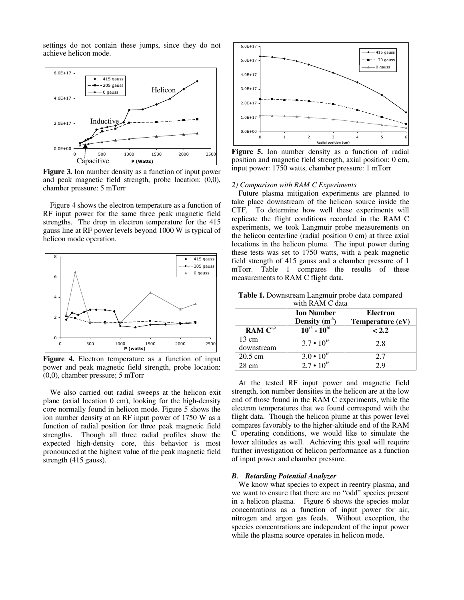settings do not contain these jumps, since they do not achieve helicon mode.



**Figure 3.** Ion number density as a function of input power and peak magnetic field strength, probe location: (0,0), chamber pressure: 5 mTorr

 Figure 4 shows the electron temperature as a function of RF input power for the same three peak magnetic field strengths. The drop in electron temperature for the 415 gauss line at RF power levels beyond 1000 W is typical of helicon mode operation.



**Figure 4.** Electron temperature as a function of input power and peak magnetic field strength, probe location: (0,0), chamber pressure; 5 mTorr

 We also carried out radial sweeps at the helicon exit plane (axial location 0 cm), looking for the high-density core normally found in helicon mode. Figure 5 shows the ion number density at an RF input power of 1750 W as a function of radial position for three peak magnetic field strengths. Though all three radial profiles show the expected high-density core, this behavior is most pronounced at the highest value of the peak magnetic field strength (415 gauss).



Figure 5. Ion number density as a function of radial position and magnetic field strength, axial position: 0 cm, input power: 1750 watts, chamber pressure: 1 mTorr

#### *2) Comparison with RAM C Experiments*

 Future plasma mitigation experiments are planned to take place downstream of the helicon source inside the CTF. To determine how well these experiments will replicate the flight conditions recorded in the RAM C experiments, we took Langmuir probe measurements on the helicon centerline (radial position 0 cm) at three axial locations in the helicon plume. The input power during these tests was set to 1750 watts, with a peak magnetic field strength of 415 gauss and a chamber pressure of 1 mTorr. Table 1 compares the results of these measurements to RAM C flight data.

**Table 1.** Downstream Langmuir probe data compared with **RAM** C data

|                               | <b>Ion Number</b><br>Density $(m^3)$ | <b>Electron</b><br>Temperature (eV) |
|-------------------------------|--------------------------------------|-------------------------------------|
| RAM $C^{1,2}$                 | $10^{15} - 10^{20}$                  | < 2.2                               |
| $13 \text{ cm}$<br>downstream | $3.7 \cdot 10^{16}$                  | 2.8                                 |
| $20.5 \text{ cm}$             | $3.0 \cdot 10^{16}$                  | 2.7                                 |
| 28 cm                         | $2.7 \cdot 10^{16}$                  | 29                                  |

 At the tested RF input power and magnetic field strength, ion number densities in the helicon are at the low end of those found in the RAM C experiments, while the electron temperatures that we found correspond with the flight data. Though the helicon plume at this power level compares favorably to the higher-altitude end of the RAM C operating conditions, we would like to simulate the lower altitudes as well. Achieving this goal will require further investigation of helicon performance as a function of input power and chamber pressure.

### *B. Retarding Potential Analyzer*

 We know what species to expect in reentry plasma, and we want to ensure that there are no "odd" species present in a helicon plasma. Figure 6 shows the species molar concentrations as a function of input power for air, nitrogen and argon gas feeds. Without exception, the species concentrations are independent of the input power while the plasma source operates in helicon mode.